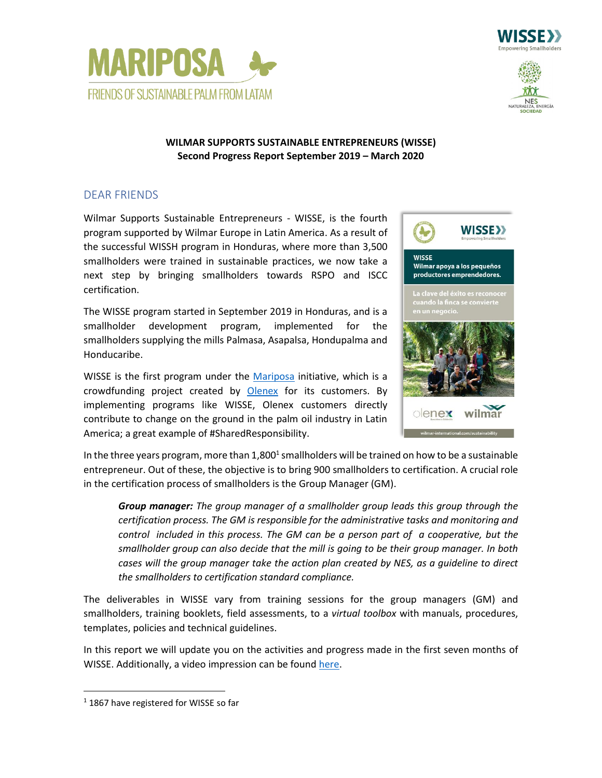



#### **WILMAR SUPPORTS SUSTAINABLE ENTREPRENEURS (WISSE) Second Progress Report September 2019 – March 2020**

## DEAR FRIENDS

Wilmar Supports Sustainable Entrepreneurs - WISSE, is the fourth program supported by Wilmar Europe in Latin America. As a result of the successful WISSH program in Honduras, where more than 3,500 smallholders were trained in sustainable practices, we now take a next step by bringing smallholders towards RSPO and ISCC certification.

The WISSE program started in September 2019 in Honduras, and is a smallholder development program, implemented for the smallholders supplying the mills Palmasa, Asapalsa, Hondupalma and Honducaribe.

WISSE is the first program under the [Mariposa](http://www.olenex.com/Mariposa/) initiative, which is a crowdfunding project created by [Olenex](http://www.olenex.com/) for its customers. By implementing programs like WISSE, Olenex customers directly contribute to change on the ground in the palm oil industry in Latin America; a great example of #SharedResponsibility.



In the three years program, more than  $1,800^1$  smallholders will be trained on how to be a sustainable entrepreneur. Out of these, the objective is to bring 900 smallholders to certification. A crucial role in the certification process of smallholders is the Group Manager (GM).

*Group manager: The group manager of a smallholder group leads this group through the certification process. The GM is responsible for the administrative tasks and monitoring and control included in this process. The GM can be a person part of a cooperative, but the smallholder group can also decide that the mill is going to be their group manager. In both cases will the group manager take the action plan created by NES, as a guideline to direct the smallholders to certification standard compliance.*

The deliverables in WISSE vary from training sessions for the group managers (GM) and smallholders, training booklets, field assessments, to a *virtual toolbox* with manuals, procedures, templates, policies and technical guidelines.

In this report we will update you on the activities and progress made in the first seven months of WISSE. Additionally, a video impression can be found [here.](https://youtu.be/owvedqqXmBU)

 $1$  1867 have registered for WISSE so far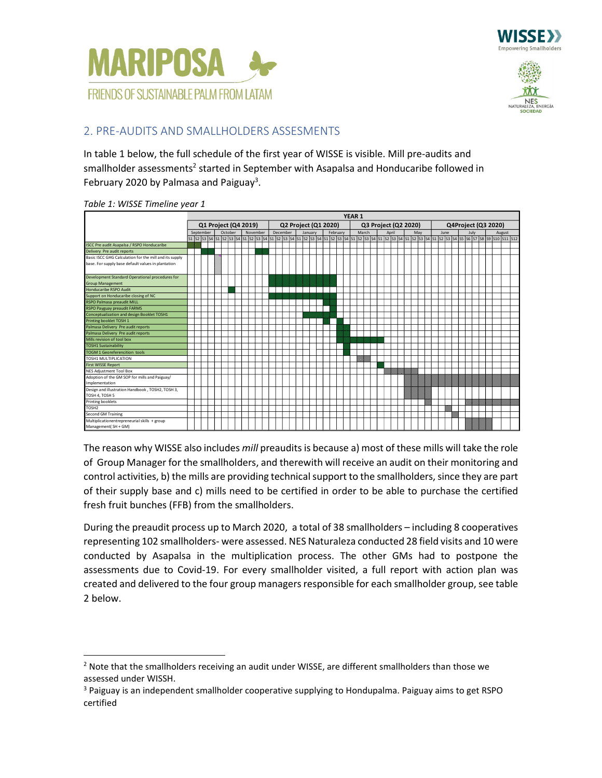



# 2. PRE-AUDITS AND SMALLHOLDERS ASSESMENTS

In table 1 below, the full schedule of the first year of WISSE is visible. Mill pre-audits and smallholder assessments<sup>2</sup> started in September with Asapalsa and Honducaribe followed in February 2020 by Palmasa and Paiguay<sup>3</sup>.

|                                                        | YEAR <sub>1</sub> |  |           |  |  |         |  |  |                      |  |  |          |  |         |  |                      |          |     |       |  |       |                      |     |   |      |  |      |                     |        |                                                                                                                                                                                         |
|--------------------------------------------------------|-------------------|--|-----------|--|--|---------|--|--|----------------------|--|--|----------|--|---------|--|----------------------|----------|-----|-------|--|-------|----------------------|-----|---|------|--|------|---------------------|--------|-----------------------------------------------------------------------------------------------------------------------------------------------------------------------------------------|
|                                                        |                   |  |           |  |  |         |  |  | Q1 Project (Q4 2019) |  |  |          |  |         |  | Q2 Project (Q1 2020) |          |     |       |  |       | Q3 Project (Q2 2020) |     |   |      |  |      | Q4Project (Q3 2020) |        |                                                                                                                                                                                         |
|                                                        |                   |  | September |  |  | October |  |  | November             |  |  | December |  | January |  |                      | February |     | March |  | April |                      | May |   | June |  | July |                     | August |                                                                                                                                                                                         |
|                                                        |                   |  |           |  |  |         |  |  |                      |  |  |          |  |         |  |                      |          |     |       |  |       |                      |     |   |      |  |      |                     |        | 512 52 53 54 51 52 53 54 51 52 53 54 51 52 53 54 51 52 53 54 51 52 53 54 51 52 53 54 51 52 53 54 51 52 53 54 51 52 53 54 51 52 53 54 51 52 53 54 51 52 53 54 55 54 55 58 59 510 511 512 |
| ISCC Pre audit Asapalsa / RSPO Honducaribe             |                   |  |           |  |  |         |  |  |                      |  |  |          |  |         |  |                      |          |     |       |  |       |                      |     |   |      |  |      |                     |        |                                                                                                                                                                                         |
| Delivery Pre audit reports                             |                   |  |           |  |  |         |  |  |                      |  |  |          |  |         |  |                      |          |     |       |  |       |                      |     |   |      |  |      |                     |        |                                                                                                                                                                                         |
| Basic ISCC GHG Calculation for the mill and its supply |                   |  |           |  |  |         |  |  |                      |  |  |          |  |         |  |                      |          |     |       |  |       |                      |     |   |      |  |      |                     |        |                                                                                                                                                                                         |
| base. For supply base default values in plantation     |                   |  |           |  |  |         |  |  |                      |  |  |          |  |         |  |                      |          |     |       |  |       |                      |     |   |      |  |      |                     |        |                                                                                                                                                                                         |
| Development Standard Operational procedures for        |                   |  |           |  |  |         |  |  |                      |  |  |          |  |         |  |                      |          |     |       |  |       |                      |     |   |      |  |      |                     |        |                                                                                                                                                                                         |
| <b>Group Management</b>                                |                   |  |           |  |  |         |  |  |                      |  |  |          |  |         |  |                      |          |     |       |  |       |                      |     |   |      |  |      |                     |        |                                                                                                                                                                                         |
| Honducaribe RSPO Audit                                 |                   |  |           |  |  |         |  |  |                      |  |  |          |  |         |  |                      |          |     |       |  |       |                      |     |   |      |  |      |                     |        |                                                                                                                                                                                         |
| Support on Honducaribe closing of NC                   |                   |  |           |  |  |         |  |  |                      |  |  |          |  |         |  |                      |          |     |       |  |       |                      |     |   |      |  |      |                     |        |                                                                                                                                                                                         |
| RSPO Palmasa preaudit MILL                             |                   |  |           |  |  |         |  |  |                      |  |  |          |  |         |  |                      |          |     |       |  |       |                      |     |   |      |  |      |                     |        |                                                                                                                                                                                         |
| <b>RSPO Payguay preaudit FARMS</b>                     |                   |  |           |  |  |         |  |  |                      |  |  |          |  |         |  |                      |          |     |       |  |       |                      |     |   |      |  |      |                     |        |                                                                                                                                                                                         |
| Conceptualization and design Booklet TOSH1             |                   |  |           |  |  |         |  |  |                      |  |  |          |  |         |  |                      |          |     |       |  |       |                      |     |   |      |  |      |                     |        |                                                                                                                                                                                         |
| Printing booklet TOSH 1                                |                   |  |           |  |  |         |  |  |                      |  |  |          |  |         |  |                      |          |     |       |  |       |                      |     |   |      |  |      |                     |        |                                                                                                                                                                                         |
| Palmasa Delivery Pre audit reports                     |                   |  |           |  |  |         |  |  |                      |  |  |          |  |         |  |                      |          |     |       |  |       |                      |     |   |      |  |      |                     |        |                                                                                                                                                                                         |
| Palmasa Delivery Pre audit reports                     |                   |  |           |  |  |         |  |  |                      |  |  |          |  |         |  |                      |          |     |       |  |       |                      |     |   |      |  |      |                     |        |                                                                                                                                                                                         |
| Mills revision of tool box                             |                   |  |           |  |  |         |  |  |                      |  |  |          |  |         |  |                      |          |     |       |  |       |                      |     |   |      |  |      |                     |        |                                                                                                                                                                                         |
| <b>TOSH1 Sustainability</b>                            |                   |  |           |  |  |         |  |  |                      |  |  |          |  |         |  |                      |          |     |       |  |       |                      |     |   |      |  |      |                     |        |                                                                                                                                                                                         |
| TOGM 1 Georeferencition tools                          |                   |  |           |  |  |         |  |  |                      |  |  |          |  |         |  |                      |          |     |       |  |       |                      |     |   |      |  |      |                     |        |                                                                                                                                                                                         |
| TOSH1 MULTIPLICATION                                   |                   |  |           |  |  |         |  |  |                      |  |  |          |  |         |  |                      |          | UM. |       |  |       |                      |     |   |      |  |      |                     |        |                                                                                                                                                                                         |
| <b>First WISSE Report</b>                              |                   |  |           |  |  |         |  |  |                      |  |  |          |  |         |  |                      |          |     |       |  |       |                      |     |   |      |  |      |                     |        |                                                                                                                                                                                         |
| <b>NES Adjustment Tool Box</b>                         |                   |  |           |  |  |         |  |  |                      |  |  |          |  |         |  |                      |          |     |       |  |       |                      |     |   |      |  |      |                     |        |                                                                                                                                                                                         |
| Adoption of the GM SOP for mills and Paiguay/          |                   |  |           |  |  |         |  |  |                      |  |  |          |  |         |  |                      |          |     |       |  |       |                      |     |   |      |  |      |                     |        |                                                                                                                                                                                         |
| Implementation                                         |                   |  |           |  |  |         |  |  |                      |  |  |          |  |         |  |                      |          |     |       |  |       |                      |     |   |      |  |      |                     |        |                                                                                                                                                                                         |
| Design and illustration Handbook, TOSH2, TOSH 3,       |                   |  |           |  |  |         |  |  |                      |  |  |          |  |         |  |                      |          |     |       |  |       |                      |     |   |      |  |      |                     |        |                                                                                                                                                                                         |
| TOSH 4, TOSH 5                                         |                   |  |           |  |  |         |  |  |                      |  |  |          |  |         |  |                      |          |     |       |  |       |                      |     |   |      |  |      |                     |        |                                                                                                                                                                                         |
| Printing booklets                                      |                   |  |           |  |  |         |  |  |                      |  |  |          |  |         |  |                      |          |     |       |  |       |                      |     | E |      |  | UMAK |                     |        |                                                                                                                                                                                         |
| TOSH <sub>2</sub>                                      |                   |  |           |  |  |         |  |  |                      |  |  |          |  |         |  |                      |          |     |       |  |       |                      |     |   | W.   |  |      |                     |        |                                                                                                                                                                                         |
| Second GM Training                                     |                   |  |           |  |  |         |  |  |                      |  |  |          |  |         |  |                      |          |     |       |  |       |                      |     |   |      |  |      |                     |        |                                                                                                                                                                                         |
| Multiplicationentrepreneurial skills + group           |                   |  |           |  |  |         |  |  |                      |  |  |          |  |         |  |                      |          |     |       |  |       |                      |     |   |      |  |      |                     |        |                                                                                                                                                                                         |
| Management(SH + GM)                                    |                   |  |           |  |  |         |  |  |                      |  |  |          |  |         |  |                      |          |     |       |  |       |                      |     |   |      |  |      |                     |        |                                                                                                                                                                                         |

#### *Table 1: WISSE Timeline year 1*

The reason why WISSE also includes *mill* preaudits is because a) most of these mills will take the role of Group Manager for the smallholders, and therewith will receive an audit on their monitoring and control activities, b) the mills are providing technical support to the smallholders, since they are part of their supply base and c) mills need to be certified in order to be able to purchase the certified fresh fruit bunches (FFB) from the smallholders.

During the preaudit process up to March 2020, a total of 38 smallholders – including 8 cooperatives representing 102 smallholders- were assessed. NES Naturaleza conducted 28 field visits and 10 were conducted by Asapalsa in the multiplication process. The other GMs had to postpone the assessments due to Covid-19. For every smallholder visited, a full report with action plan was created and delivered to the four group managers responsible for each smallholder group, see table 2 below.

 $<sup>2</sup>$  Note that the smallholders receiving an audit under WISSE, are different smallholders than those we</sup> assessed under WISSH.

<sup>&</sup>lt;sup>3</sup> Paiguay is an independent smallholder cooperative supplying to Hondupalma. Paiguay aims to get RSPO certified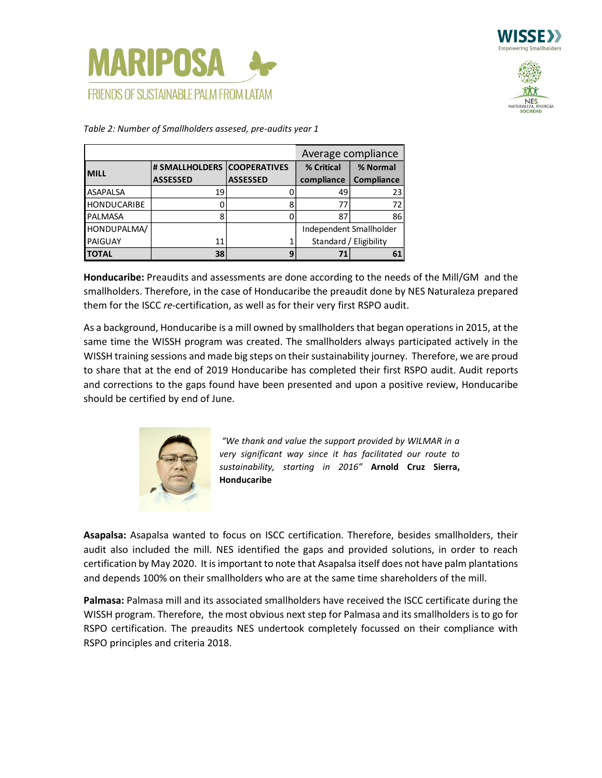



*Table 2: Number of Smallholders assesed, pre-audits year 1*

|                  |                             | Average compliance |                         |            |  |  |  |
|------------------|-----------------------------|--------------------|-------------------------|------------|--|--|--|
| l MILL           | # SMALLHOLDERS COOPERATIVES |                    | % Critical              | % Normal   |  |  |  |
|                  | <b>ASSESSED</b>             | <b>ASSESSED</b>    | compliance              | Compliance |  |  |  |
| <b>LASAPALSA</b> | 19                          |                    | 49                      | 23         |  |  |  |
| HONDUCARIBE      |                             | 8                  | 77                      | 72         |  |  |  |
| <b>PALMASA</b>   | 8                           |                    | 87                      | 86         |  |  |  |
| HONDUPALMA/      |                             |                    | Independent Smallholder |            |  |  |  |
| <b>PAIGUAY</b>   | 11                          |                    | Standard / Eligibility  |            |  |  |  |
| ΙΤΟΤΑL           | 38                          | q                  | 71                      | 61         |  |  |  |

**Honducaribe:** Preaudits and assessments are done according to the needs of the Mill/GM and the smallholders. Therefore, in the case of Honducaribe the preaudit done by NES Naturaleza prepared them for the ISCC *re*-certification, as well as for their very first RSPO audit.

As a background, Honducaribe is a mill owned by smallholders that began operations in 2015, at the same time the WISSH program was created. The smallholders always participated actively in the WISSH training sessions and made big steps on their sustainability journey. Therefore, we are proud to share that at the end of 2019 Honducaribe has completed their first RSPO audit. Audit reports and corrections to the gaps found have been presented and upon a positive review, Honducaribe should be certified by end of June.



*"We thank and value the support provided by WILMAR in a very significant way since it has facilitated our route to sustainability, starting in 2016"* **Arnold Cruz Sierra, Honducaribe**

**Asapalsa:** Asapalsa wanted to focus on ISCC certification. Therefore, besides smallholders, their audit also included the mill. NES identified the gaps and provided solutions, in order to reach certification by May 2020. It is important to note that Asapalsa itself does not have palm plantations and depends 100% on their smallholders who are at the same time shareholders of the mill.

**Palmasa:** Palmasa mill and its associated smallholders have received the ISCC certificate during the WISSH program. Therefore, the most obvious next step for Palmasa and its smallholders is to go for RSPO certification. The preaudits NES undertook completely focussed on their compliance with RSPO principles and criteria 2018.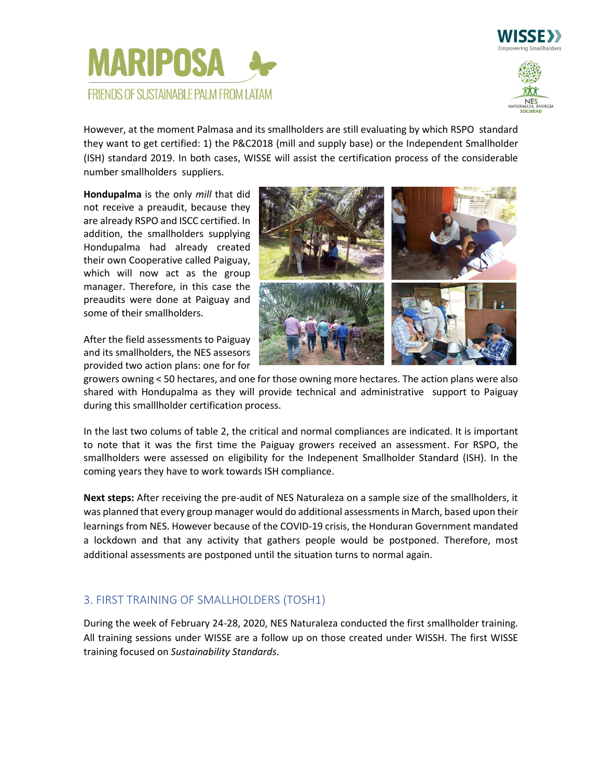



However, at the moment Palmasa and its smallholders are still evaluating by which RSPO standard they want to get certified: 1) the P&C2018 (mill and supply base) or the Independent Smallholder (ISH) standard 2019. In both cases, WISSE will assist the certification process of the considerable number smallholders suppliers.

**Hondupalma** is the only *mill* that did not receive a preaudit, because they are already RSPO and ISCC certified. In addition, the smallholders supplying Hondupalma had already created their own Cooperative called Paiguay, which will now act as the group manager. Therefore, in this case the preaudits were done at Paiguay and some of their smallholders.

After the field assessments to Paiguay and its smallholders, the NES assesors provided two action plans: one for for



growers owning < 50 hectares, and one for those owning more hectares. The action plans were also shared with Hondupalma as they will provide technical and administrative support to Paiguay during this smalllholder certification process.

In the last two colums of table 2, the critical and normal compliances are indicated. It is important to note that it was the first time the Paiguay growers received an assessment. For RSPO, the smallholders were assessed on eligibility for the Indepenent Smallholder Standard (ISH). In the coming years they have to work towards ISH compliance.

**Next steps:** After receiving the pre-audit of NES Naturaleza on a sample size of the smallholders, it was planned that every group manager would do additional assessments in March, based upon their learnings from NES. However because of the COVID-19 crisis, the Honduran Government mandated a lockdown and that any activity that gathers people would be postponed. Therefore, most additional assessments are postponed until the situation turns to normal again.

## 3. FIRST TRAINING OF SMALLHOLDERS (TOSH1)

During the week of February 24-28, 2020, NES Naturaleza conducted the first smallholder training. All training sessions under WISSE are a follow up on those created under WISSH. The first WISSE training focused on *Sustainability Standards.*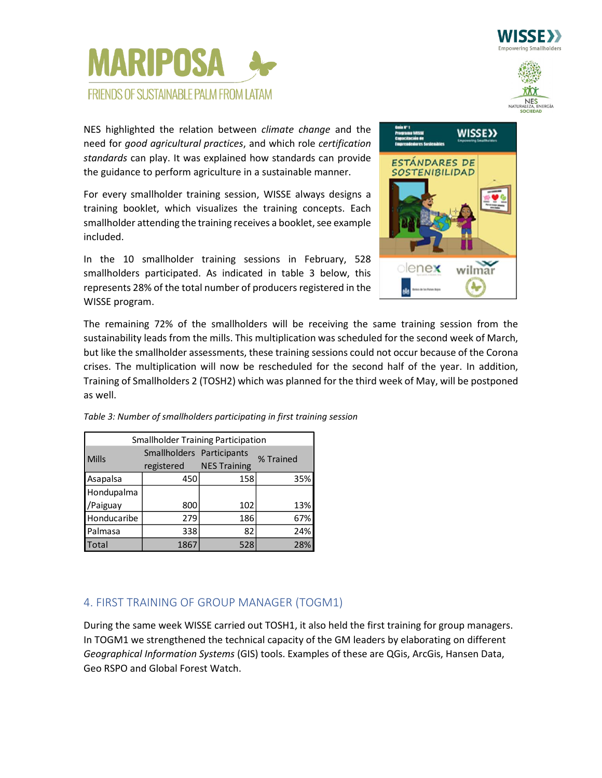



NES highlighted the relation between *climate change* and the need for *good agricultural practices*, and which role *certification standards* can play. It was explained how standards can provide the guidance to perform agriculture in a sustainable manner.

For every smallholder training session, WISSE always designs a training booklet, which visualizes the training concepts. Each smallholder attending the training receives a booklet, see example included.

In the 10 smallholder training sessions in February, 528 smallholders participated. As indicated in table 3 below, this represents 28% of the total number of producers registered in the WISSE program.



The remaining 72% of the smallholders will be receiving the same training session from the sustainability leads from the mills. This multiplication was scheduled for the second week of March, but like the smallholder assessments, these training sessions could not occur because of the Corona crises. The multiplication will now be rescheduled for the second half of the year. In addition, Training of Smallholders 2 (TOSH2) which was planned for the third week of May, will be postponed as well.

| <b>Smallholder Training Participation</b> |                           |                     |           |  |  |  |  |  |  |  |
|-------------------------------------------|---------------------------|---------------------|-----------|--|--|--|--|--|--|--|
| <b>Mills</b>                              | Smallholders Participants |                     |           |  |  |  |  |  |  |  |
|                                           | registered                | <b>NES Training</b> | % Trained |  |  |  |  |  |  |  |
| Asapalsa                                  | 450                       | 158                 | 35%       |  |  |  |  |  |  |  |
| Hondupalma                                |                           |                     |           |  |  |  |  |  |  |  |
| Paiguay                                   | 800                       | 102                 | 13%       |  |  |  |  |  |  |  |
| Honducaribe                               | 279                       | 186                 | 67%       |  |  |  |  |  |  |  |
| Palmasa                                   | 338                       | 82                  | 24%       |  |  |  |  |  |  |  |
| `otal                                     | 1867                      | 528                 | 28%       |  |  |  |  |  |  |  |

*Table 3: Number of smallholders participating in first training session*

## 4. FIRST TRAINING OF GROUP MANAGER (TOGM1)

During the same week WISSE carried out TOSH1, it also held the first training for group managers. In TOGM1 we strengthened the technical capacity of the GM leaders by elaborating on different *Geographical Information Systems* (GIS) tools. Examples of these are QGis, ArcGis, Hansen Data, Geo RSPO and Global Forest Watch.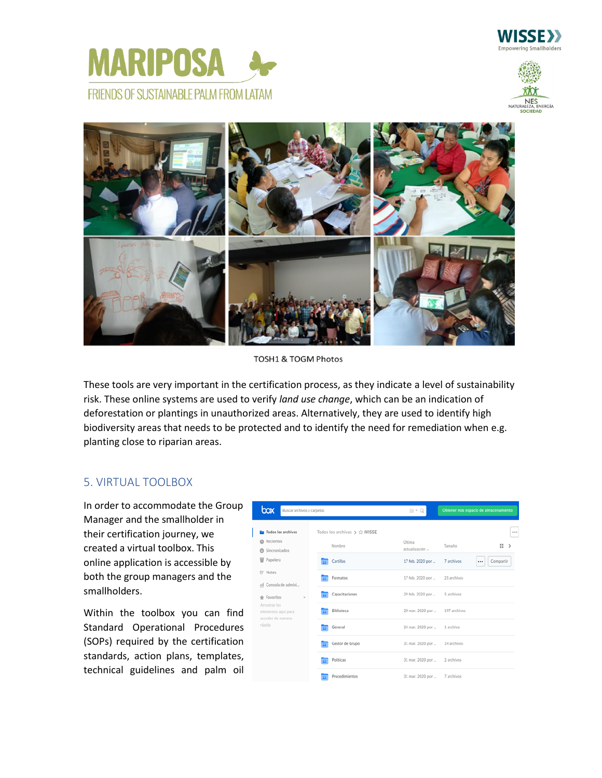





TOSH1 & TOGM Photos

These tools are very important in the certification process, as they indicate a level of sustainability risk. These online systems are used to verify *land use change*, which can be an indication of deforestation or plantings in unauthorized areas. Alternatively, they are used to identify high biodiversity areas that needs to be protected and to identify the need for remediation when e.g. planting close to riparian areas.

### 5. VIRTUAL TOOLBOX

In order to accommodate the Group Manager and the smallholder in their certification journey, we created a virtual toolbox. This online application is accessible by both the group managers and the smallholders.

Within the toolbox you can find Standard Operational Procedures (SOPs) required by the certification standards, action plans, templates, technical guidelines and palm oil

|  | box<br>Buscar archivos y carpetas                         |                                        | 三·Q                       |              | Obtener más espacio de almacenamiento |
|--|-----------------------------------------------------------|----------------------------------------|---------------------------|--------------|---------------------------------------|
|  | Todos los archivos<br>Recientes<br>۵                      | Todos los archivos > ☆ WISSE<br>Nombre | Última<br>actualización A | Tamaño       | <br>n<br>>                            |
|  | Sincronizados<br>e<br>Papelera                            | Cartillas                              | 17 feb. 2020 por          | 7 archivos   | Compartir<br>                         |
|  | $\overline{=}$ Notes<br>ill Consola de admini             | Formatos                               | 17 feb. 2020 por          | 21 archivos  |                                       |
|  | Favoritos<br>٠                                            | Capacitaciones                         | 29 feb. 2020 por          | 5 archivos   |                                       |
|  | Arrastrar los<br>elementos aquí para<br>acceder de manera | Biblioteca                             | 20 mar. 2020 por          | 197 archivos |                                       |
|  | rápida                                                    | General                                | 24 mar. 2020 por          | 1 archivo    |                                       |
|  |                                                           | Gestor de Grupo                        | 31 mar. 2020 por          | 14 archivos  |                                       |
|  |                                                           | <b>Politicas</b>                       | 31 mar. 2020 por          | 2 archivos   |                                       |
|  |                                                           | Procedimientos                         | 31 mar. 2020 por          | 7 archivos   |                                       |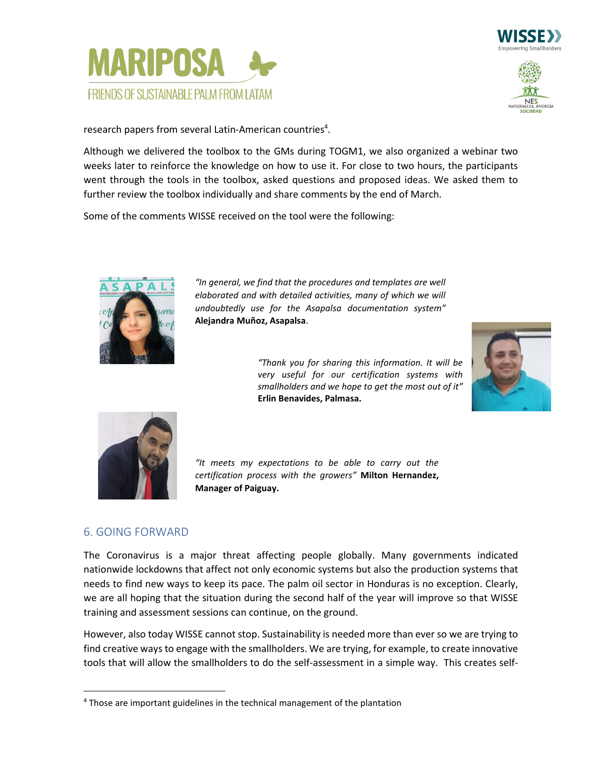



research papers from several Latin-American countries<sup>4</sup>.

Although we delivered the toolbox to the GMs during TOGM1, we also organized a webinar two weeks later to reinforce the knowledge on how to use it. For close to two hours, the participants went through the tools in the toolbox, asked questions and proposed ideas. We asked them to further review the toolbox individually and share comments by the end of March.

Some of the comments WISSE received on the tool were the following:



*"In general, we find that the procedures and templates are well elaborated and with detailed activities, many of which we will undoubtedly use for the Asapalsa documentation system"* **Alejandra Muñoz, Asapalsa**.

> *"Thank you for sharing this information. It will be very useful for our certification systems with smallholders and we hope to get the most out of it"* **Erlin Benavides, Palmasa.**





*"It meets my expectations to be able to carry out the certification process with the growers"* **Milton Hernandez, Manager of Paiguay.**

### 6. GOING FORWARD

The Coronavirus is a major threat affecting people globally. Many governments indicated nationwide lockdowns that affect not only economic systems but also the production systems that needs to find new ways to keep its pace. The palm oil sector in Honduras is no exception. Clearly, we are all hoping that the situation during the second half of the year will improve so that WISSE training and assessment sessions can continue, on the ground.

However, also today WISSE cannot stop. Sustainability is needed more than ever so we are trying to find creative ways to engage with the smallholders. We are trying, for example, to create innovative tools that will allow the smallholders to do the self-assessment in a simple way. This creates self-

<sup>&</sup>lt;sup>4</sup> Those are important guidelines in the technical management of the plantation